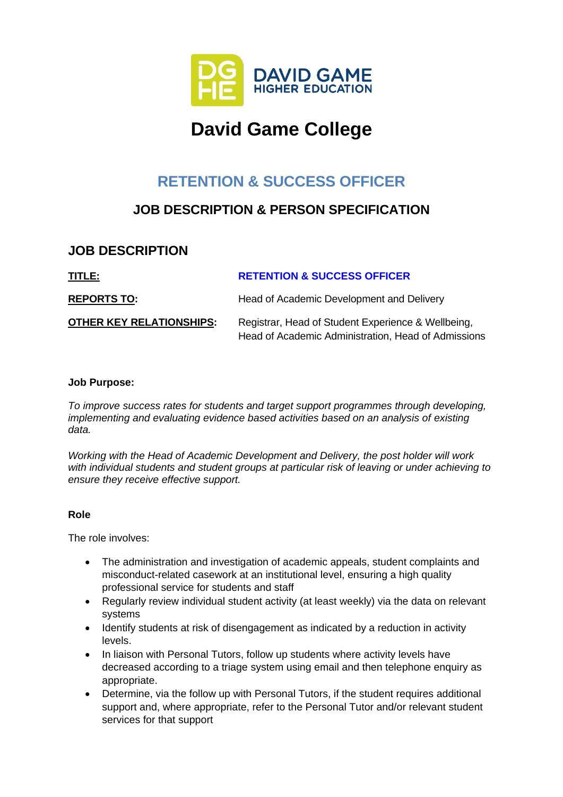

# **David Game College**

# **RETENTION & SUCCESS OFFICER**

## **JOB DESCRIPTION & PERSON SPECIFICATION**

### **JOB DESCRIPTION**

| <u>TITLE:</u>            | <b>RETENTION &amp; SUCCESS OFFICER</b>                                                                    |
|--------------------------|-----------------------------------------------------------------------------------------------------------|
| <b>REPORTS TO:</b>       | Head of Academic Development and Delivery                                                                 |
| OTHER KEY RELATIONSHIPS: | Registrar, Head of Student Experience & Wellbeing,<br>Head of Academic Administration, Head of Admissions |

#### **Job Purpose:**

*To improve success rates for students and target support programmes through developing, implementing and evaluating evidence based activities based on an analysis of existing data.* 

*Working with the Head of Academic Development and Delivery, the post holder will work with individual students and student groups at particular risk of leaving or under achieving to ensure they receive effective support.* 

#### **Role**

The role involves:

- The administration and investigation of academic appeals, student complaints and misconduct-related casework at an institutional level, ensuring a high quality professional service for students and staff
- Regularly review individual student activity (at least weekly) via the data on relevant systems
- Identify students at risk of disengagement as indicated by a reduction in activity levels.
- In liaison with Personal Tutors, follow up students where activity levels have decreased according to a triage system using email and then telephone enquiry as appropriate.
- Determine, via the follow up with Personal Tutors, if the student requires additional support and, where appropriate, refer to the Personal Tutor and/or relevant student services for that support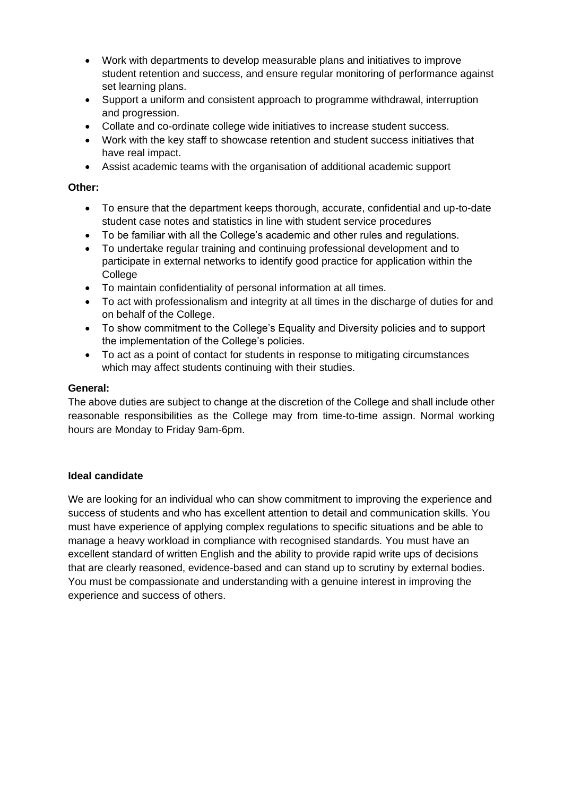- Work with departments to develop measurable plans and initiatives to improve student retention and success, and ensure regular monitoring of performance against set learning plans.
- Support a uniform and consistent approach to programme withdrawal, interruption and progression.
- Collate and co-ordinate college wide initiatives to increase student success.
- Work with the key staff to showcase retention and student success initiatives that have real impact.
- Assist academic teams with the organisation of additional academic support

#### **Other:**

- To ensure that the department keeps thorough, accurate, confidential and up-to-date student case notes and statistics in line with student service procedures
- To be familiar with all the College's academic and other rules and regulations.
- To undertake regular training and continuing professional development and to participate in external networks to identify good practice for application within the College
- To maintain confidentiality of personal information at all times.
- To act with professionalism and integrity at all times in the discharge of duties for and on behalf of the College.
- To show commitment to the College's Equality and Diversity policies and to support the implementation of the College's policies.
- To act as a point of contact for students in response to mitigating circumstances which may affect students continuing with their studies.

#### **General:**

The above duties are subject to change at the discretion of the College and shall include other reasonable responsibilities as the College may from time-to-time assign. Normal working hours are Monday to Friday 9am-6pm.

#### **Ideal candidate**

We are looking for an individual who can show commitment to improving the experience and success of students and who has excellent attention to detail and communication skills. You must have experience of applying complex regulations to specific situations and be able to manage a heavy workload in compliance with recognised standards. You must have an excellent standard of written English and the ability to provide rapid write ups of decisions that are clearly reasoned, evidence-based and can stand up to scrutiny by external bodies. You must be compassionate and understanding with a genuine interest in improving the experience and success of others.